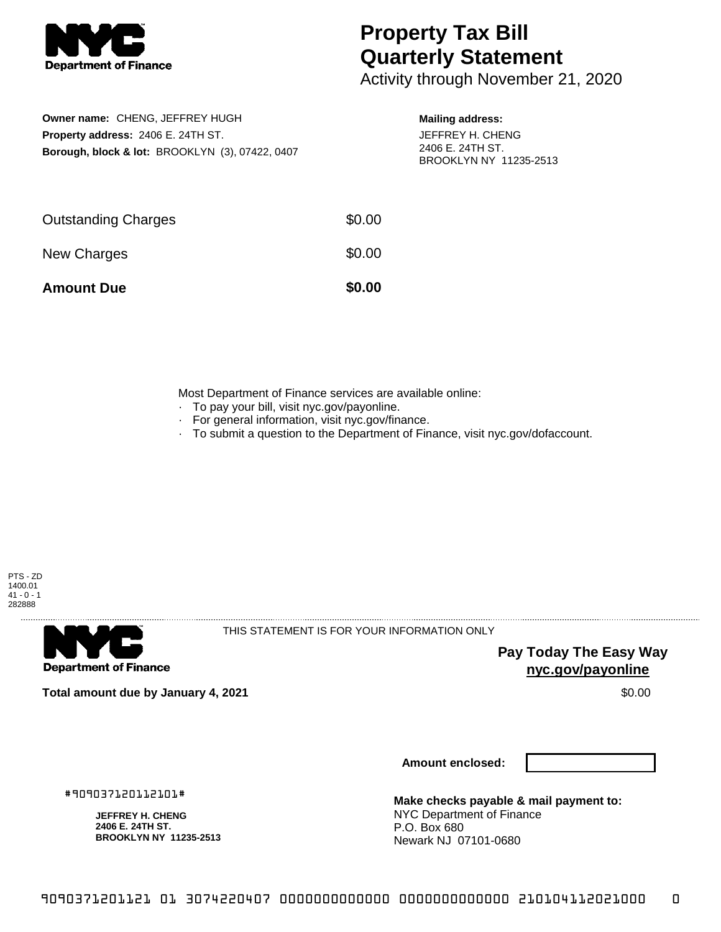

## **Property Tax Bill Quarterly Statement**

Activity through November 21, 2020

| Owner name: CHENG, JEFFREY HUGH                            |  |  |  |  |
|------------------------------------------------------------|--|--|--|--|
| Property address: 2406 E. 24TH ST.                         |  |  |  |  |
| <b>Borough, block &amp; lot: BROOKLYN (3), 07422, 0407</b> |  |  |  |  |

## **Mailing address:**

JEFFREY H. CHENG 2406 E. 24TH ST. BROOKLYN NY 11235-2513

| <b>Amount Due</b>          | \$0.00 |
|----------------------------|--------|
| New Charges                | \$0.00 |
| <b>Outstanding Charges</b> | \$0.00 |

Most Department of Finance services are available online:

- · To pay your bill, visit nyc.gov/payonline.
- For general information, visit nyc.gov/finance.
- · To submit a question to the Department of Finance, visit nyc.gov/dofaccount.



**Department of Finance** 

THIS STATEMENT IS FOR YOUR INFORMATION ONLY

**Pay Today The Easy Way nyc.gov/payonline**

**Total amount due by January 4, 2021** \$0.00

**Amount enclosed:**

#909037120112101#

**JEFFREY H. CHENG 2406 E. 24TH ST. BROOKLYN NY 11235-2513**

**Make checks payable & mail payment to:** NYC Department of Finance P.O. Box 680 Newark NJ 07101-0680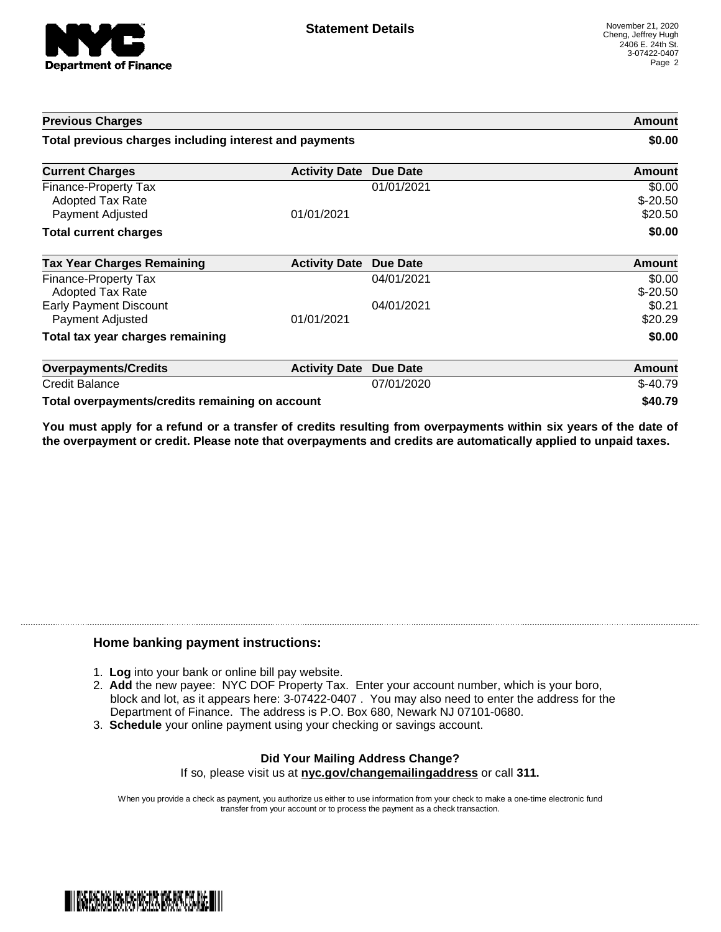

| <b>Previous Charges</b>                                             |                      | Amount<br>\$0.00 |                                |
|---------------------------------------------------------------------|----------------------|------------------|--------------------------------|
| Total previous charges including interest and payments              |                      |                  |                                |
| <b>Current Charges</b>                                              | <b>Activity Date</b> | <b>Due Date</b>  | Amount                         |
| Finance-Property Tax<br><b>Adopted Tax Rate</b><br>Payment Adjusted | 01/01/2021           | 01/01/2021       | \$0.00<br>$$-20.50$<br>\$20.50 |
| <b>Total current charges</b>                                        |                      |                  | \$0.00                         |
| <b>Tax Year Charges Remaining</b>                                   | <b>Activity Date</b> | <b>Due Date</b>  | <b>Amount</b>                  |
| Finance-Property Tax<br>Adopted Tax Rate                            |                      | 04/01/2021       | \$0.00<br>$$-20.50$            |
| <b>Early Payment Discount</b><br>Payment Adjusted                   | 01/01/2021           | 04/01/2021       | \$0.21<br>\$20.29              |
| Total tax year charges remaining                                    |                      |                  | \$0.00                         |
| <b>Overpayments/Credits</b>                                         | <b>Activity Date</b> | <b>Due Date</b>  | <b>Amount</b>                  |
| Credit Balance                                                      |                      | 07/01/2020       | $$-40.79$                      |
| Total overpayments/credits remaining on account                     |                      |                  | \$40.79                        |

You must apply for a refund or a transfer of credits resulting from overpayments within six years of the date of **the overpayment or credit. Please note that overpayments and credits are automatically applied to unpaid taxes.**

## **Home banking payment instructions:**

- 1. **Log** into your bank or online bill pay website.
- 2. **Add** the new payee: NYC DOF Property Tax. Enter your account number, which is your boro, block and lot, as it appears here: 3-07422-0407 . You may also need to enter the address for the Department of Finance. The address is P.O. Box 680, Newark NJ 07101-0680.
- 3. **Schedule** your online payment using your checking or savings account.

## **Did Your Mailing Address Change?** If so, please visit us at **nyc.gov/changemailingaddress** or call **311.**

When you provide a check as payment, you authorize us either to use information from your check to make a one-time electronic fund transfer from your account or to process the payment as a check transaction.